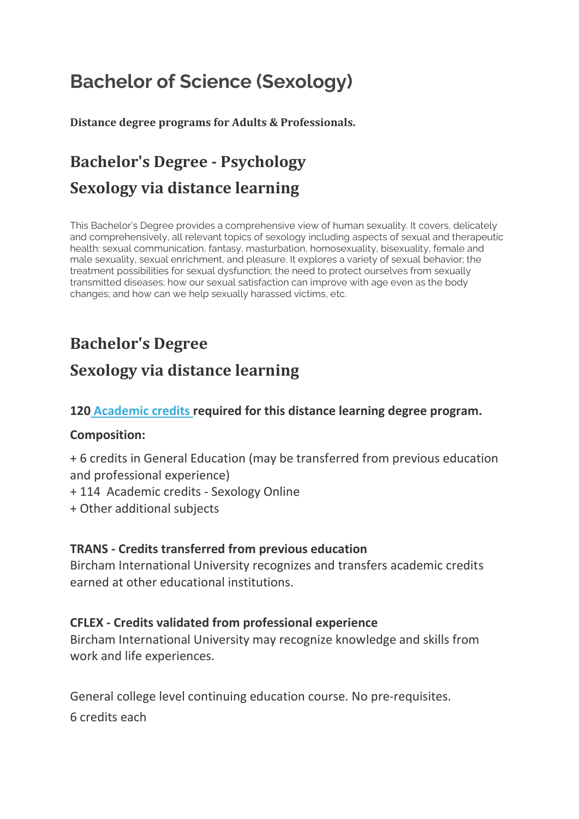# **Bachelor of Science (Sexology)**

**Distance degree programs for Adults & Professionals.**

## **Bachelor's Degree - Psychology Sexology via distance learning**

This Bachelor's Degree provides a comprehensive view of human sexuality. It covers, delicately and comprehensively, all relevant topics of sexology including aspects of sexual and therapeutic health: sexual communication, fantasy, masturbation, homosexuality, bisexuality, female and male sexuality, sexual enrichment, and pleasure. It explores a variety of sexual behavior; the treatment possibilities for sexual dysfunction; the need to protect ourselves from sexually transmitted diseases; how our sexual satisfaction can improve with age even as the body changes; and how can we help sexually harassed victims, etc.

## **Bachelor's Degree**

## **Sexology via distance learning**

#### **120 [Academic credits](https://www.bircham.edu/degrees/transcript.html) required for this distance learning degree program.**

#### **Composition:**

+ 6 credits in General Education (may be transferred from previous education and professional experience)

- + 114 Academic credits Sexology Online
- + Other additional subjects

#### **TRANS - Credits transferred from previous education**

Bircham International University recognizes and transfers academic credits earned at other educational institutions.

#### **CFLEX - Credits validated from professional experience**

Bircham International University may recognize knowledge and skills from work and life experiences.

General college level continuing education course. No pre-requisites. 6 credits each